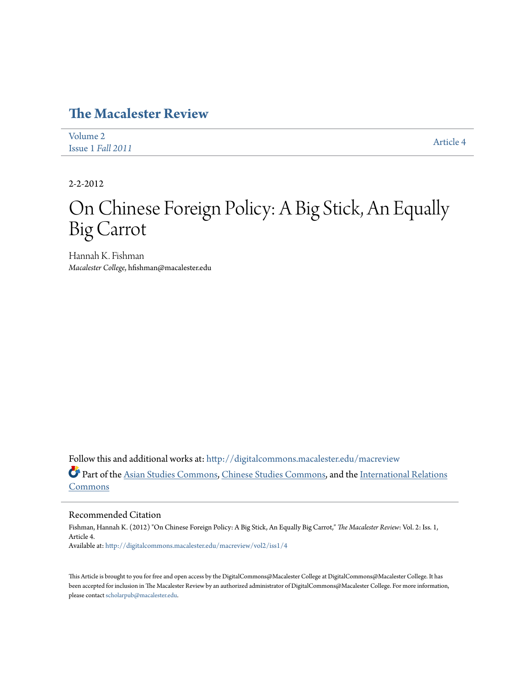## **[The Macalester Review](http://digitalcommons.macalester.edu/macreview?utm_source=digitalcommons.macalester.edu%2Fmacreview%2Fvol2%2Fiss1%2F4&utm_medium=PDF&utm_campaign=PDFCoverPages)**

| Volume 2          | Article 4 |
|-------------------|-----------|
| Issue 1 Fall 2011 |           |

2-2-2012

## On Chinese Foreign Policy: A Big Stick, An Equally Big Carrot

Hannah K. Fishman *Macalester College*, hfishman@macalester.edu

Follow this and additional works at: [http://digitalcommons.macalester.edu/macreview](http://digitalcommons.macalester.edu/macreview?utm_source=digitalcommons.macalester.edu%2Fmacreview%2Fvol2%2Fiss1%2F4&utm_medium=PDF&utm_campaign=PDFCoverPages) Part of the [Asian Studies Commons](http://network.bepress.com/hgg/discipline/361?utm_source=digitalcommons.macalester.edu%2Fmacreview%2Fvol2%2Fiss1%2F4&utm_medium=PDF&utm_campaign=PDFCoverPages), [Chinese Studies Commons](http://network.bepress.com/hgg/discipline/1081?utm_source=digitalcommons.macalester.edu%2Fmacreview%2Fvol2%2Fiss1%2F4&utm_medium=PDF&utm_campaign=PDFCoverPages), and the [International Relations](http://network.bepress.com/hgg/discipline/389?utm_source=digitalcommons.macalester.edu%2Fmacreview%2Fvol2%2Fiss1%2F4&utm_medium=PDF&utm_campaign=PDFCoverPages) [Commons](http://network.bepress.com/hgg/discipline/389?utm_source=digitalcommons.macalester.edu%2Fmacreview%2Fvol2%2Fiss1%2F4&utm_medium=PDF&utm_campaign=PDFCoverPages)

## Recommended Citation

Fishman, Hannah K. (2012) "On Chinese Foreign Policy: A Big Stick, An Equally Big Carrot," *The Macalester Review*: Vol. 2: Iss. 1, Article 4. Available at: [http://digitalcommons.macalester.edu/macreview/vol2/iss1/4](http://digitalcommons.macalester.edu/macreview/vol2/iss1/4?utm_source=digitalcommons.macalester.edu%2Fmacreview%2Fvol2%2Fiss1%2F4&utm_medium=PDF&utm_campaign=PDFCoverPages)

This Article is brought to you for free and open access by the DigitalCommons@Macalester College at DigitalCommons@Macalester College. It has been accepted for inclusion in The Macalester Review by an authorized administrator of DigitalCommons@Macalester College. For more information, please contact [scholarpub@macalester.edu.](mailto:scholarpub@macalester.edu)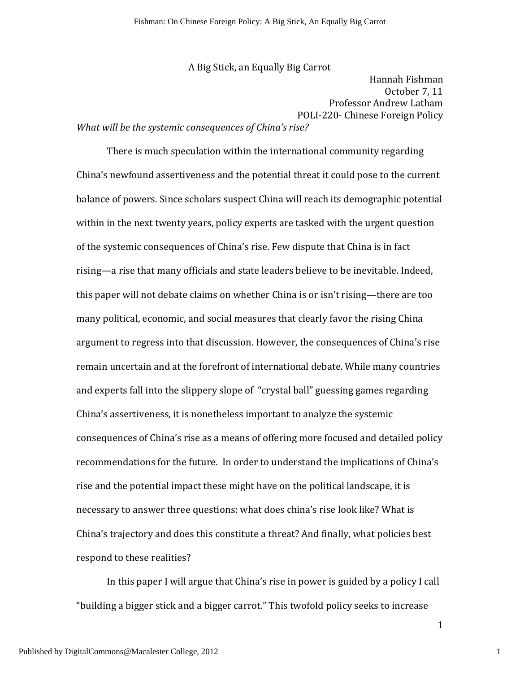A Big Stick, an Equally Big Carrot Hannah Fishman October 7, 11 Professor Andrew Latham POLI-220- Chinese Foreign Policy

What will be the systemic consequences of China's rise?

There is much speculation within the international community regarding China's newfound assertiveness and the potential threat it could pose to the current balance of powers. Since scholars suspect China will reach its demographic potential within in the next twenty years, policy experts are tasked with the urgent question of the systemic consequences of China's rise. Few dispute that China is in fact rising—a rise that many officials and state leaders believe to be inevitable. Indeed, this paper will not debate claims on whether China is or isn't rising—there are too many political, economic, and social measures that clearly favor the rising China argument to regress into that discussion. However, the consequences of China's rise remain uncertain and at the forefront of international debate. While many countries and experts fall into the slippery slope of "crystal ball" guessing games regarding China's assertiveness, it is nonetheless important to analyze the systemic consequences of China's rise as a means of offering more focused and detailed policy recommendations for the future. In order to understand the implications of China's rise and the potential impact these might have on the political landscape, it is necessary to answer three questions: what does china's rise look like? What is China's trajectory and does this constitute a threat? And finally, what policies best respond to these realities?

In this paper I will argue that China's rise in power is guided by a policy I call "building a bigger stick and a bigger carrot." This twofold policy seeks to increase

Published by DigitalCommons@Macalester College, 2012

1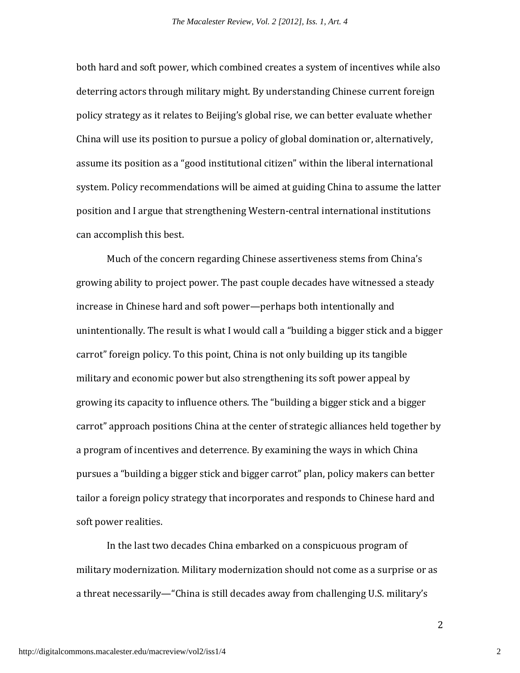both hard and soft power, which combined creates a system of incentives while also deterring actors through military might. By understanding Chinese current foreign policy strategy as it relates to Beijing's global rise, we can better evaluate whether China will use its position to pursue a policy of global domination or, alternatively, assume its position as a "good institutional citizen" within the liberal international system. Policy recommendations will be aimed at guiding China to assume the latter position and I argue that strengthening Western-central international institutions can accomplish this best.

 Much of the concern regarding Chinese assertiveness stems from China's growing ability to project power. The past couple decades have witnessed a steady increase in Chinese hard and soft power—perhaps both intentionally and unintentionally. The result is what I would call a "building a bigger stick and a bigger carrot" foreign policy. To this point, China is not only building up its tangible military and economic power but also strengthening its soft power appeal by growing its capacity to influence others. The "building a bigger stick and a bigger carrot" approach positions China at the center of strategic alliances held together by a program of incentives and deterrence. By examining the ways in which China pursues a "building a bigger stick and bigger carrot" plan, policy makers can better tailor a foreign policy strategy that incorporates and responds to Chinese hard and soft power realities.

 In the last two decades China embarked on a conspicuous program of military modernization. Military modernization should not come as a surprise or as a threat necessarily—"China is still decades away from challenging U.S. military's

2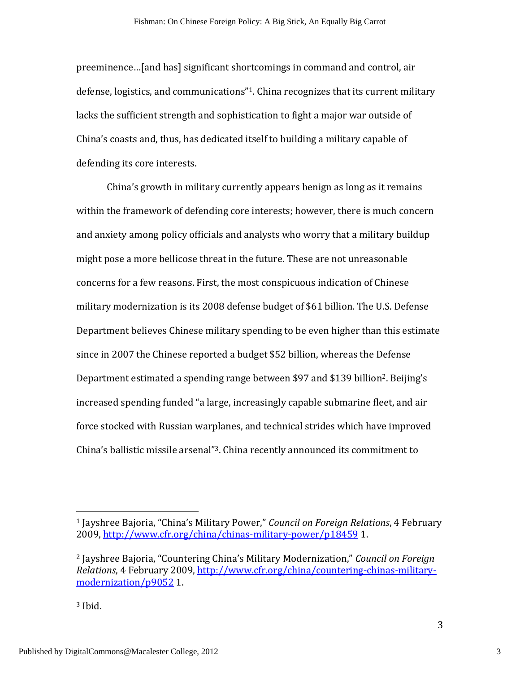preeminence…[and has] significant shortcomings in command and control, air defense, logistics, and communications"1. China recognizes that its current military lacks the sufficient strength and sophistication to fight a major war outside of China's coasts and, thus, has dedicated itself to building a military capable of defending its core interests.

China's growth in military currently appears benign as long as it remains within the framework of defending core interests; however, there is much concern and anxiety among policy officials and analysts who worry that a military buildup might pose a more bellicose threat in the future. These are not unreasonable concerns for a few reasons. First, the most conspicuous indication of Chinese military modernization is its 2008 defense budget of \$61 billion. The U.S. Defense Department believes Chinese military spending to be even higher than this estimate since in 2007 the Chinese reported a budget \$52 billion, whereas the Defense Department estimated a spending range between \$97 and \$139 billion<sup>2</sup>. Beijing's increased spending funded "a large, increasingly capable submarine fleet, and air force stocked with Russian warplanes, and technical strides which have improved China's ballistic missile arsenal"3. China recently announced its commitment to

<u>.</u>

<sup>&</sup>lt;sup>1</sup> Jayshree Bajoria, "China's Military Power," *Council on Foreign Relations*, 4 February 2009, http://www.cfr.org/china/chinas-military-power/p18459 1.

<sup>2</sup> Jayshree Bajoria, "Countering China's Military Modernization," Council on Foreign Relations, 4 February 2009, http://www.cfr.org/china/countering-chinas-militarymodernization/p9052 1.

<sup>3</sup> Ibid.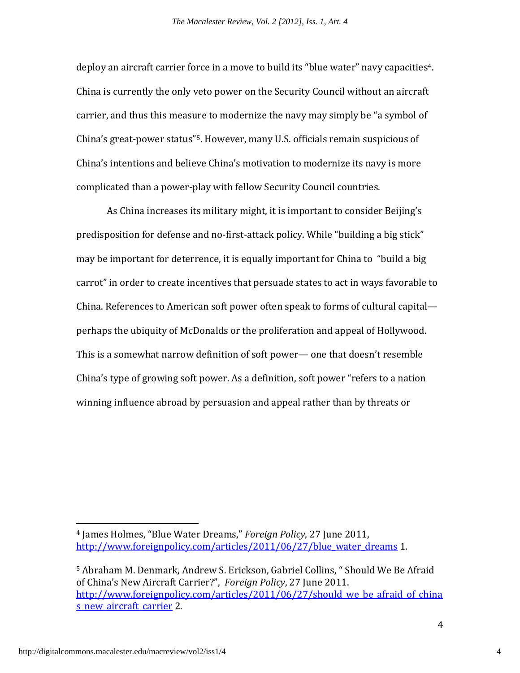deploy an aircraft carrier force in a move to build its "blue water" navy capacities4. China is currently the only veto power on the Security Council without an aircraft carrier, and thus this measure to modernize the navy may simply be "a symbol of China's great-power status"5. However, many U.S. officials remain suspicious of China's intentions and believe China's motivation to modernize its navy is more complicated than a power-play with fellow Security Council countries.

As China increases its military might, it is important to consider Beijing's predisposition for defense and no-first-attack policy. While "building a big stick" may be important for deterrence, it is equally important for China to "build a big carrot" in order to create incentives that persuade states to act in ways favorable to China. References to American soft power often speak to forms of cultural capital perhaps the ubiquity of McDonalds or the proliferation and appeal of Hollywood. This is a somewhat narrow definition of soft power— one that doesn't resemble China's type of growing soft power. As a definition, soft power "refers to a nation winning influence abroad by persuasion and appeal rather than by threats or

 $\overline{a}$ 

<sup>4</sup> James Holmes, "Blue Water Dreams," Foreign Policy, 27 June 2011, http://www.foreignpolicy.com/articles/2011/06/27/blue water dreams 1.

<sup>5</sup> Abraham M. Denmark, Andrew S. Erickson, Gabriel Collins, " Should We Be Afraid of China's New Aircraft Carrier?", Foreign Policy, 27 June 2011. http://www.foreignpolicy.com/articles/2011/06/27/should we be afraid of china s new aircraft carrier 2.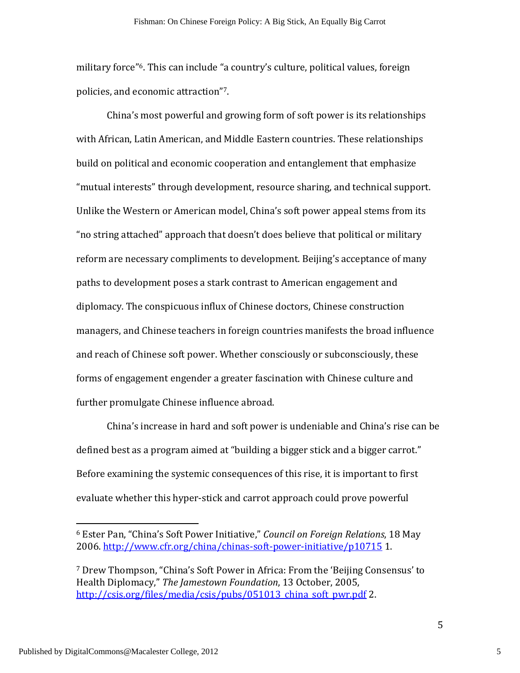military force"6. This can include "a country's culture, political values, foreign policies, and economic attraction"7.

China's most powerful and growing form of soft power is its relationships with African, Latin American, and Middle Eastern countries. These relationships build on political and economic cooperation and entanglement that emphasize "mutual interests" through development, resource sharing, and technical support. Unlike the Western or American model, China's soft power appeal stems from its "no string attached" approach that doesn't does believe that political or military reform are necessary compliments to development. Beijing's acceptance of many paths to development poses a stark contrast to American engagement and diplomacy. The conspicuous influx of Chinese doctors, Chinese construction managers, and Chinese teachers in foreign countries manifests the broad influence and reach of Chinese soft power. Whether consciously or subconsciously, these forms of engagement engender a greater fascination with Chinese culture and further promulgate Chinese influence abroad.

China's increase in hard and soft power is undeniable and China's rise can be defined best as a program aimed at "building a bigger stick and a bigger carrot." Before examining the systemic consequences of this rise, it is important to first evaluate whether this hyper-stick and carrot approach could prove powerful

<u>.</u>

5

<sup>6</sup> Ester Pan, "China's Soft Power Initiative," Council on Foreign Relations, 18 May 2006. http://www.cfr.org/china/chinas-soft-power-initiative/p10715 1.

<sup>7</sup> Drew Thompson, "China's Soft Power in Africa: From the 'Beijing Consensus' to Health Diplomacy," The Jamestown Foundation, 13 October, 2005, http://csis.org/files/media/csis/pubs/051013\_china\_soft\_pwr.pdf 2.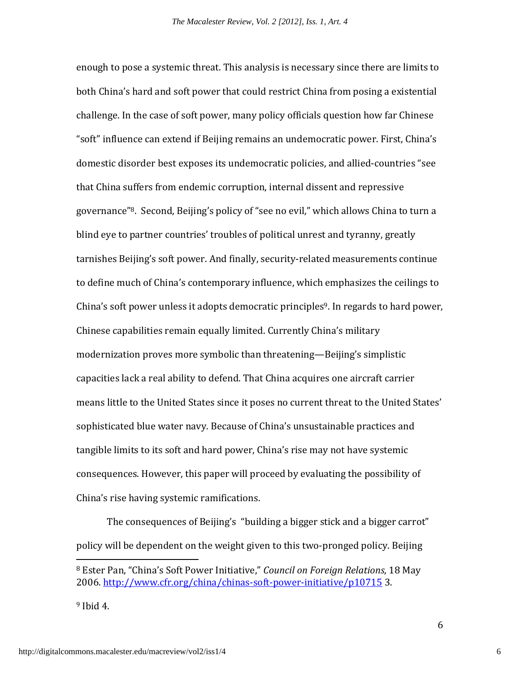enough to pose a systemic threat. This analysis is necessary since there are limits to both China's hard and soft power that could restrict China from posing a existential challenge. In the case of soft power, many policy officials question how far Chinese "soft" influence can extend if Beijing remains an undemocratic power. First, China's domestic disorder best exposes its undemocratic policies, and allied-countries "see that China suffers from endemic corruption, internal dissent and repressive governance"8. Second, Beijing's policy of "see no evil," which allows China to turn a blind eye to partner countries' troubles of political unrest and tyranny, greatly tarnishes Beijing's soft power. And finally, security-related measurements continue to define much of China's contemporary influence, which emphasizes the ceilings to China's soft power unless it adopts democratic principles<sup>9</sup>. In regards to hard power, Chinese capabilities remain equally limited. Currently China's military modernization proves more symbolic than threatening—Beijing's simplistic capacities lack a real ability to defend. That China acquires one aircraft carrier means little to the United States since it poses no current threat to the United States' sophisticated blue water navy. Because of China's unsustainable practices and tangible limits to its soft and hard power, China's rise may not have systemic consequences. However, this paper will proceed by evaluating the possibility of China's rise having systemic ramifications.

The consequences of Beijing's "building a bigger stick and a bigger carrot" policy will be dependent on the weight given to this two-pronged policy. Beijing

 $9$  Ibid 4.

<u>.</u>

<sup>&</sup>lt;sup>8</sup> Ester Pan, "China's Soft Power Initiative," Council on Foreign Relations, 18 May 2006. http://www.cfr.org/china/chinas-soft-power-initiative/p10715 3.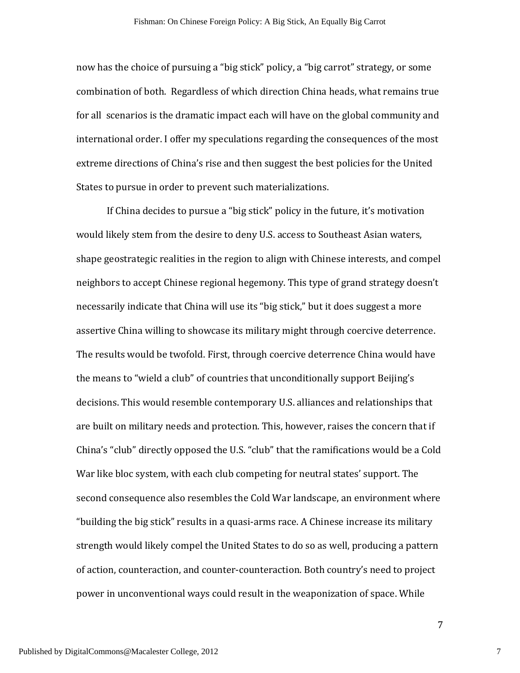now has the choice of pursuing a "big stick" policy, a "big carrot" strategy, or some combination of both. Regardless of which direction China heads, what remains true for all scenarios is the dramatic impact each will have on the global community and international order. I offer my speculations regarding the consequences of the most extreme directions of China's rise and then suggest the best policies for the United States to pursue in order to prevent such materializations.

If China decides to pursue a "big stick" policy in the future, it's motivation would likely stem from the desire to deny U.S. access to Southeast Asian waters, shape geostrategic realities in the region to align with Chinese interests, and compel neighbors to accept Chinese regional hegemony. This type of grand strategy doesn't necessarily indicate that China will use its "big stick," but it does suggest a more assertive China willing to showcase its military might through coercive deterrence. The results would be twofold. First, through coercive deterrence China would have the means to "wield a club" of countries that unconditionally support Beijing's decisions. This would resemble contemporary U.S. alliances and relationships that are built on military needs and protection. This, however, raises the concern that if China's "club" directly opposed the U.S. "club" that the ramifications would be a Cold War like bloc system, with each club competing for neutral states' support. The second consequence also resembles the Cold War landscape, an environment where "building the big stick" results in a quasi-arms race. A Chinese increase its military strength would likely compel the United States to do so as well, producing a pattern of action, counteraction, and counter-counteraction. Both country's need to project power in unconventional ways could result in the weaponization of space. While

7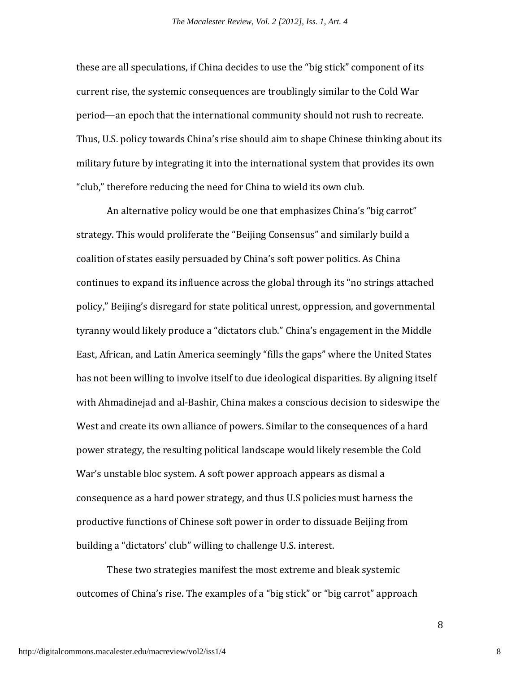these are all speculations, if China decides to use the "big stick" component of its current rise, the systemic consequences are troublingly similar to the Cold War period—an epoch that the international community should not rush to recreate. Thus, U.S. policy towards China's rise should aim to shape Chinese thinking about its military future by integrating it into the international system that provides its own "club," therefore reducing the need for China to wield its own club.

An alternative policy would be one that emphasizes China's "big carrot" strategy. This would proliferate the "Beijing Consensus" and similarly build a coalition of states easily persuaded by China's soft power politics. As China continues to expand its influence across the global through its "no strings attached policy," Beijing's disregard for state political unrest, oppression, and governmental tyranny would likely produce a "dictators club." China's engagement in the Middle East, African, and Latin America seemingly "fills the gaps" where the United States has not been willing to involve itself to due ideological disparities. By aligning itself with Ahmadinejad and al-Bashir, China makes a conscious decision to sideswipe the West and create its own alliance of powers. Similar to the consequences of a hard power strategy, the resulting political landscape would likely resemble the Cold War's unstable bloc system. A soft power approach appears as dismal a consequence as a hard power strategy, and thus U.S policies must harness the productive functions of Chinese soft power in order to dissuade Beijing from building a "dictators' club" willing to challenge U.S. interest.

 These two strategies manifest the most extreme and bleak systemic outcomes of China's rise. The examples of a "big stick" or "big carrot" approach

8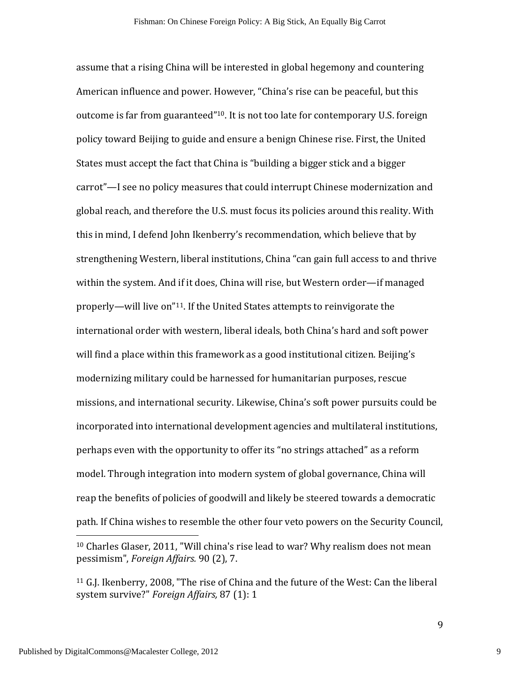assume that a rising China will be interested in global hegemony and countering American influence and power. However, "China's rise can be peaceful, but this outcome is far from guaranteed"10. It is not too late for contemporary U.S. foreign policy toward Beijing to guide and ensure a benign Chinese rise. First, the United States must accept the fact that China is "building a bigger stick and a bigger carrot"—I see no policy measures that could interrupt Chinese modernization and global reach, and therefore the U.S. must focus its policies around this reality. With this in mind, I defend John Ikenberry's recommendation, which believe that by strengthening Western, liberal institutions, China "can gain full access to and thrive within the system. And if it does, China will rise, but Western order—if managed properly—will live on"11. If the United States attempts to reinvigorate the international order with western, liberal ideals, both China's hard and soft power will find a place within this framework as a good institutional citizen. Beijing's modernizing military could be harnessed for humanitarian purposes, rescue missions, and international security. Likewise, China's soft power pursuits could be incorporated into international development agencies and multilateral institutions, perhaps even with the opportunity to offer its "no strings attached" as a reform model. Through integration into modern system of global governance, China will reap the benefits of policies of goodwill and likely be steered towards a democratic path. If China wishes to resemble the other four veto powers on the Security Council,

<u>.</u>

9

<sup>10</sup> Charles Glaser, 2011, "Will china's rise lead to war? Why realism does not mean pessimism", Foreign Affairs. 90 (2), 7.

<sup>11</sup> G.J. Ikenberry, 2008, "The rise of China and the future of the West: Can the liberal system survive?" Foreign Affairs, 87 (1): 1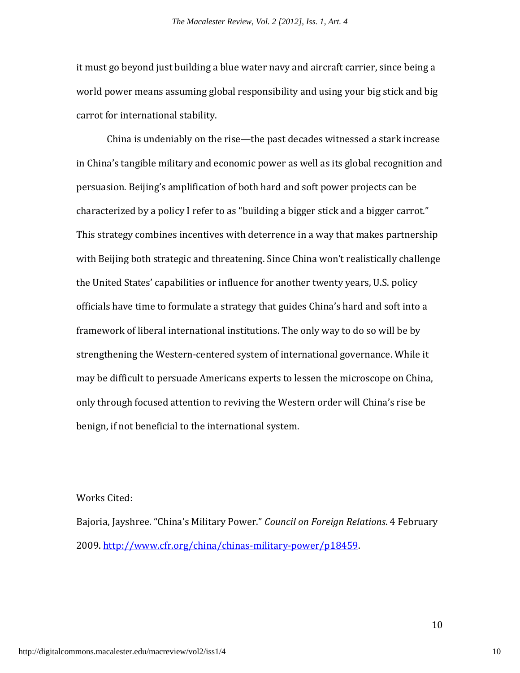it must go beyond just building a blue water navy and aircraft carrier, since being a world power means assuming global responsibility and using your big stick and big carrot for international stability.

 China is undeniably on the rise—the past decades witnessed a stark increase in China's tangible military and economic power as well as its global recognition and persuasion. Beijing's amplification of both hard and soft power projects can be characterized by a policy I refer to as "building a bigger stick and a bigger carrot." This strategy combines incentives with deterrence in a way that makes partnership with Beijing both strategic and threatening. Since China won't realistically challenge the United States' capabilities or influence for another twenty years, U.S. policy officials have time to formulate a strategy that guides China's hard and soft into a framework of liberal international institutions. The only way to do so will be by strengthening the Western-centered system of international governance. While it may be difficult to persuade Americans experts to lessen the microscope on China, only through focused attention to reviving the Western order will China's rise be benign, if not beneficial to the international system.

## Works Cited:

Bajoria, Jayshree. "China's Military Power." Council on Foreign Relations. 4 February 2009. http://www.cfr.org/china/chinas-military-power/p18459.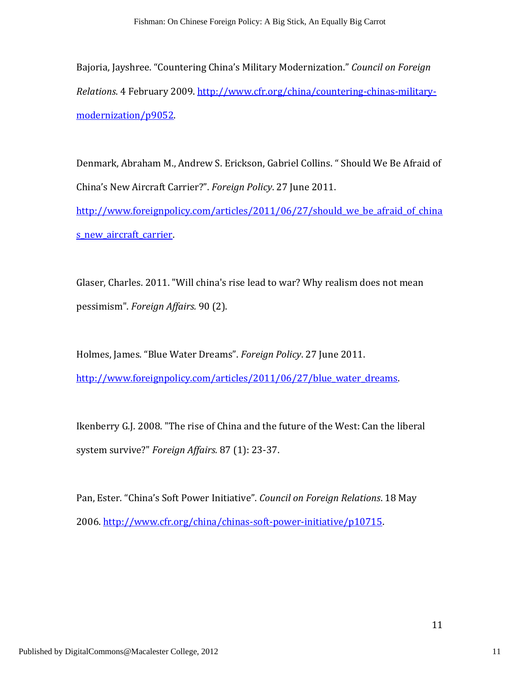Bajoria, Jayshree. "Countering China's Military Modernization." Council on Foreign Relations. 4 February 2009. http://www.cfr.org/china/countering-chinas-militarymodernization/p9052.

Denmark, Abraham M., Andrew S. Erickson, Gabriel Collins. " Should We Be Afraid of China's New Aircraft Carrier?". Foreign Policy. 27 June 2011. http://www.foreignpolicy.com/articles/2011/06/27/should we be afraid of china s new aircraft carrier.

Glaser, Charles. 2011. "Will china's rise lead to war? Why realism does not mean pessimism". Foreign Affairs. 90 (2).

Holmes, James. "Blue Water Dreams". Foreign Policy. 27 June 2011. http://www.foreignpolicy.com/articles/2011/06/27/blue water dreams.

Ikenberry G.J. 2008. "The rise of China and the future of the West: Can the liberal system survive?" Foreign Affairs. 87 (1): 23-37.

Pan, Ester. "China's Soft Power Initiative". Council on Foreign Relations. 18 May 2006. http://www.cfr.org/china/chinas-soft-power-initiative/p10715.